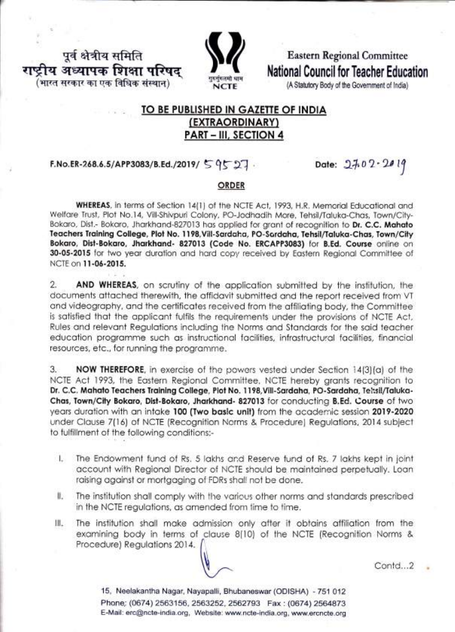पूर्व क्षेत्रीय समिति राष्ट्रीय अध्यापक शिक्षा परिषद (भारत सरकार का एक विधिक संस्थान)



**Eastern Regional Committee National Council for Teacher Education** 

(A Statutory Body of the Government of India)

## TO BE PUBLISHED IN GAZETTE OF INDIA (EXTRAORDINARY) **PART - III, SECTION 4**

# F.No.ER-268.6.5/APP3083/B.Ed./2019/ 59527.

Date: 27.02-2019

### **ORDER**

WHEREAS, in terms of Section 14(1) of the NCTE Act, 1993, H.R. Memorial Educational and Welfare Trust, Plot No.14, Vill-Shivpuri Colony, PO-Jodhadih Mare, Tehsil/Taluka-Chas, Town/City-Bokaro, Dist.- Bokaro, Jharkhand-827013 has applied for grant of recognition to Dr. C.C. Mahato Teachers Training College, Plot No. 1198, Vill-Sardaha, PO-Sardaha, Tehsil/Taluka-Chas, Town/City Bokaro, Dist-Bokaro, Jharkhand- 827013 (Code No. ERCAPP3083) for B.Ed. Course online on 30-05-2015 for two year duration and hard copy received by Eastern Regional Committee of NCTE on 11-06-2015.

 $\mathfrak{D}$ AND WHEREAS, on scrutiny of the application submitted by the institution, the documents attached therewith, the affidavit submitted and the report received from VT and videography, and the certificates received from the affiliating body, the Committee is satisfied that the applicant fulfils the requirements under the provisions of NCTE Act. Rules and relevant Regulations including the Norms and Standards for the said teacher education programme such as instructional facilities, infrastructural facilities, financial resources, etc., for running the programme.

NOW THEREFORE, in exercise of the powers vested under Section 14(3)(a) of the 3. NCTE Act 1993, the Eastern Regional Committee, NCTE hereby grants recognition to Dr. C.C. Mahato Teachers Training College, Plot No. 1198, Vill-Sardaha, PO-Sardaha, Teltsil/Taluka-Chas, Town/City Bokaro, Dist-Bokaro, Jharkhand- 827013 for conducting B.Ed. Course of two years duration with an intake 100 (Two basic unit) from the academic session 2019-2020 under Clause 7(16) of NCTE (Recognition Norms & Procedure) Regulations, 2014 subject to fulfillment of the following conditions:-

- I. The Endowment fund of Rs. 5 lakhs and Reserve fund of Rs. 7 lakhs kept in joint account with Regional Director of NCTE should be maintained perpetually. Loan raising against or mortgaging of FDRs shall not be done.
- 化。 The institution shall comply with the various other norms and standards prescribed in the NCTE regulations, as amended from time to time.
- Ш. The institution shall make admission only after it obtains affiliation from the examining body in terms of clause 8[10] of the NCTE (Recognition Norms & Procedure) Regulations 2014.

Contd...2

15. Neelakantha Nagar, Nayapalli, Bhubaneswar (ODISHA) - 751 012 Phone: (0674) 2563156, 2563252, 2562793 Fax: (0674) 2564873 E-Mail: erc@ncte-india.org, Website: www.ncte-india.org, www.ercncte.org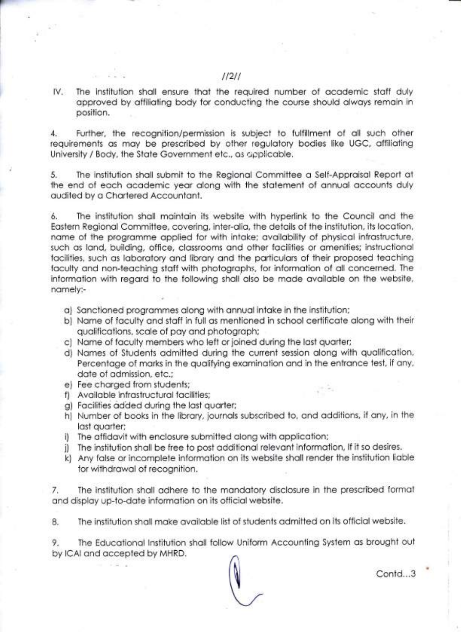lV. The institution sholl ensure thot the required number of ocodemic stoff duly opproved by offilioting body for conducting the course should olwoys remoin in position.

4. Further, the recognition/permission is subjeci to fulfillment of oll such other requirements os moy be prescribed by oiher regulotory bodies like UGC, offilioting University / Body, the State Government etc., as applicable.

5. The instituiion sholl submit to the Regionol Commiitee o Self-Approisol Report ot the end of each academic year along with the statement of annual accounts duly oudited by o Chortered Accountont.

6. The institution sholl mointoin its website with hyperlink to the Council ond the Eostern Regionol Commiitee, covering, inier-olio, the detoils of the institution, its locotion, nome of the progromme opplied for with intoke; ovoilobility of physicol infrostructure, such as land, building, office, classrooms and other facilities or amenities; instructional facilities, such as laboratory and library and the particulars of their proposed teaching faculty and non-teaching staff with photographs, for information of all concerned. The information with regard to the following shall also be made available on the website, nomely:-

- o) Sonctioned progrommes olong with onnuolintoke in the institution;
- b) Nome of foculty ond stoff in full os mentioned in school certificote olong with their qualifications, scale of pay and photograph;
- c) Nome of foculty members who left or joined during the lost quorter;
- d) Nomes of Students odmitied during fhe current session olong wiih quolificoiion, Percentage of marks in the qualifying examination and in the entrance test, if any, dote of odmission, etc.;
- e) Fee charged from students;
- f) Available infrastructural facilities;
- g) Focilities odded during the lost quorter;
- h) Number of books in the librory, journols subscribed to, ond odditions, if ony, in the lost quorter;
- i) The offidovit with enclosure submitted olong with opplicotion;
- j) The institution shall be free to post additional relevant information, If it so desires.
- k) Any false or incomplete information on its website shall render the institution liable for withdrowol of recognition.

7. The institution sholl odhere to the mondotory disclosure in the prescribed formot and display up-to-date information on its official website.

8. The institution shall make available list of students admitted on its official website.

9. The Educational Institution shall follow Uniform Accounting System as brought out by lCAl ond qccepted by MHRD.

Contd...3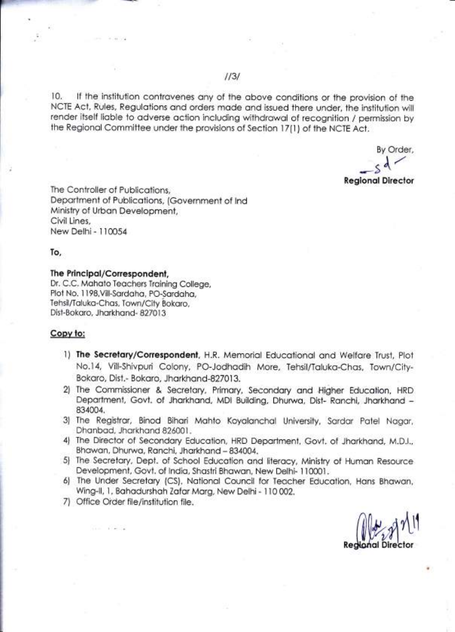10. If the institution contravenes any of the above conditions or the provision of the NCTE Act, Rules, Regulotions ond orders mode ond issued there under, the institution will render itself liable to adverse action including withdrawal of recognition / permission by the Regionol Committee under the provisions of Section l7(l ) of the NCTE Act.

By Order, Regional Director  $\overline{\phantom{a}}$ 

The Controller of Publicotions, Deportment of Publicotions, (Government of lnd Ministry of Urbon Development, Civil Lines, NewDelhi-110054

To,

#### The Principol/Correspondent,

Dr. C.C. Mohoto Teochers Troining College, Plot No. 1198, Vill-Sardaha, PO-Sardaha, Tehsil/Toluko-Chos, Town/City Bokoro, Dist-Bokaro, Jharkhand- 827013

### Copy to:

- 1) The Secretary/Correspondent, H.R. Memorial Educational and Welfare Trust, Plot No.l4, Vill-Shivpuri Colony, PO-Jodhodih More, Tehsil/Toluko-Chos, Town/City-Bokaro, Dist.- Bokaro, Jharkhand-827013.
- 2) The Commissioner & Secretary, Primary, Secondary and Higher Education, HRD Department, Govt. of Jharkhand, MDI Building, Dhurwa, Dist- Ranchi, Jharkhand -834004.
- 3) The Registror, Binod Bihori Mohto Koyolonchol University, Sordor Potel Nogor, Dhanbad, Jharkhand 826001.
- 4) The Director of Secondary Education, HRD Department, Govt. of Jharkhand, M.D.I., Bhawan, Dhurwa, Ranchi, Jharkhand - 834004.
- 5) The Secretary, Dept. of School Education and literacy, Ministry of Human Resource Development, Govt. of India, Shastri Bhawan, New Delhi- 110001.
- 6l The Under Secretory (CS), Notionol Council for Teocher Educotion, Hons Bhowon, Wing-ll, l, Bohodurshoh Zofor Morg, New Delhi- I l0 002.
- 7) Office Oider file/institution file.

 $\sqrt{\frac{1}{2}}$ Regional Director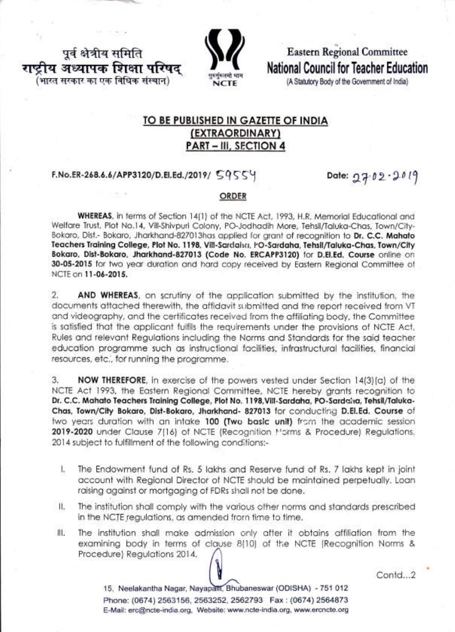पूर्व क्षेत्रीय समिति ।य अध्यापक शिक्षा परिषद भारत सरकार का एक विधिक संस्थान)



**Eastern Regional Committee** National Council for Teacher Education

(A Statutory Body of the Government of India)

# TO BE PUBLISHED IN GAZETTE OF INDIA (EXTRAORDINARY) **PART - III, SECTION 4**

### F.No.ER-268.6.6/APP3120/D.El.Ed./2019/ 59554

Date: 27.02.2019

### ORDER

WHEREAS, in terms of Section 14(1) of the NCTE Act, 1993, H.R. Memorial Educational and Welfare Trust, Plot No.14, Vill-Shivpuri Colony, PO-Jodhadih More, Tehsil/Taluka-Chas, Town/City-Bokaro, Dist.- Bokaro, Jharkhand-827013has applied for grant of recognition to Dr. C.C. Mahato Teachers Training College, Plot No. 1198, Vill-Sardaha, PO-Sardaha, Tehsil/Taluka-Chas, Town/City Bokaro, Dist-Bokaro, Jharkhand-827013 (Code No. ERCAPP3120) for D.El.Ed. Course online on 30-05-2015 for two year duration and hard copy received by Eastern Regional Committee of NCTE on 11-06-2015.

 $\overline{2}$ AND WHEREAS, on scrutiny of the application submitted by the institution, the documents attached therewith, the affidavit submitted and the report received from VT and videography, and the certificates received from the affiliating body, the Committee is satisfied that the applicant fulfils the requirements under the provisions of NCTE Act, Rules and relevant Regulations including the Norms and Standards for the said teacher education programme such as instructional facilities, infrastructural facilities, financial resources, etc., for running the programme.

NOW THEREFORE, in exercise of the powers vested under Section 14(3)(a) of the 3. NCTE Act 1993, the Eastern Regional Committee, NCTE hereby drants recognition to Dr. C.C. Mahato Teachers Training College, Plot No. 1198, Vill-Sardaha, PO-Sardaha, Tehsil/Taluka-Chas, Town/City Bokaro, Dist-Bokaro, Jharkhand- 827013 for conducting D.El.Ed. Course of two years duration with an intake 100 (Two basic unit) from the academic session 2019-2020 under Clause 7(16) of NCTE (Recognition Morms & Procedure) Regulations, 2014 subject to fulfillment of the following conditions:-

- L The Endowment fund of Rs. 5 lakhs and Reserve fund of Rs. 7 lakhs kept in joint account with Regional Director of NCTE should be maintained perpetually. Loan raising against or mortgaging of FDRs shall not be done.
- The institution shall comply with the various other norms and standards prescribed Ш. in the NCTE regulations, as amended from time to time.
- 批 The institution shall make admission only after it obtains affiliation from the examining body in terms of clause 8(10) of the NCTE (Recognition Norms & Procedure) Regulations 2014.

Contd.<sub>2</sub>

15. Neelakantha Nagar, Nayapatti, Bhubaneswar (ODISHA) - 751 012 Phone: (0674) 2563156, 2563252, 2562793 Fax: (0674) 2564873 E-Mail: erc@ncte-india.org, Website: www.ncte-india.org, www.ercncte.org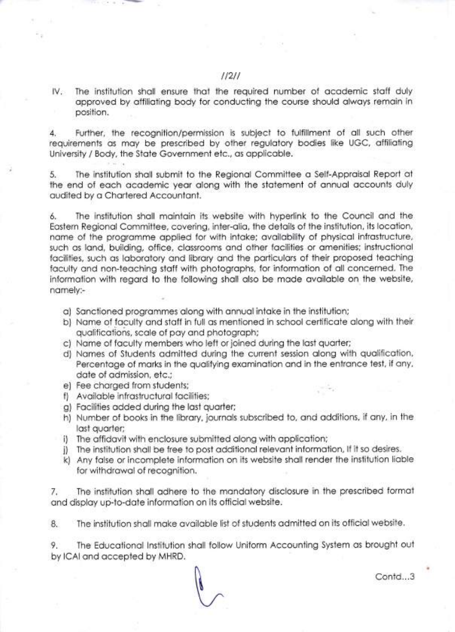IV. The institution shall ensure that the required number of academic staff duly approved by affiliating body for conducting the course should always remain in position.

Further, the recognition/permission is subject to fulfillment of all such other  $\mathbf{A}$ requirements as may be prescribed by other regulatory bodies like UGC, affiliating University / Body, the State Government etc., as applicable.

5. The institution shall submit to the Regional Committee a Self-Appraisal Report at the end of each academic year along with the statement of annual accounts duly audited by a Chartered Accountant.

The institution shall maintain its website with hyperlink to the Council and the 6. Eastern Regional Committee, covering, inter-alia, the details of the institution, its location, name of the programme applied for with intake; availability of physical infrastructure, such as land, building, office, classrooms and other facilities or amenities; instructional facilities, such as laboratory and library and the particulars of their proposed teaching faculty and non-teaching staff with photographs, for information of all concerned. The information with regard to the following shall also be made available on the website, namely:-

- a) Sanctioned programmes along with annual intake in the institution;
- b) Name of faculty and staff in full as mentioned in school certificate along with their qualifications, scale of pay and photograph;
- c) Name of faculty members who left or joined during the last quarter;
- d) Names of Students admitted during the current session along with qualification, Percentage of marks in the qualifying examination and in the entrance test, if any, date of admission, etc.;
- e) Fee charged from students;
- f) Available infrastructural facilities;
- g) Facilities added during the last quarter;
- h) Number of books in the library, journals subscribed to, and additions, if any, in the last quarter;
- i) The affidavit with enclosure submitted along with application;
- j) The institution shall be free to post additional relevant information, If it so desires.
- k) Any false or incomplete information on its website shall render the institution liable for withdrawal of recognition.

The institution shall adhere to the mandatory disclosure in the prescribed format 7. and display up-to-date information on its official website.

The institution shall make available list of students admitted on its official website. 8.

The Educational Institution shall follow Uniform Accounting System as brought out 9. by ICAI and accepted by MHRD.

Contd...3